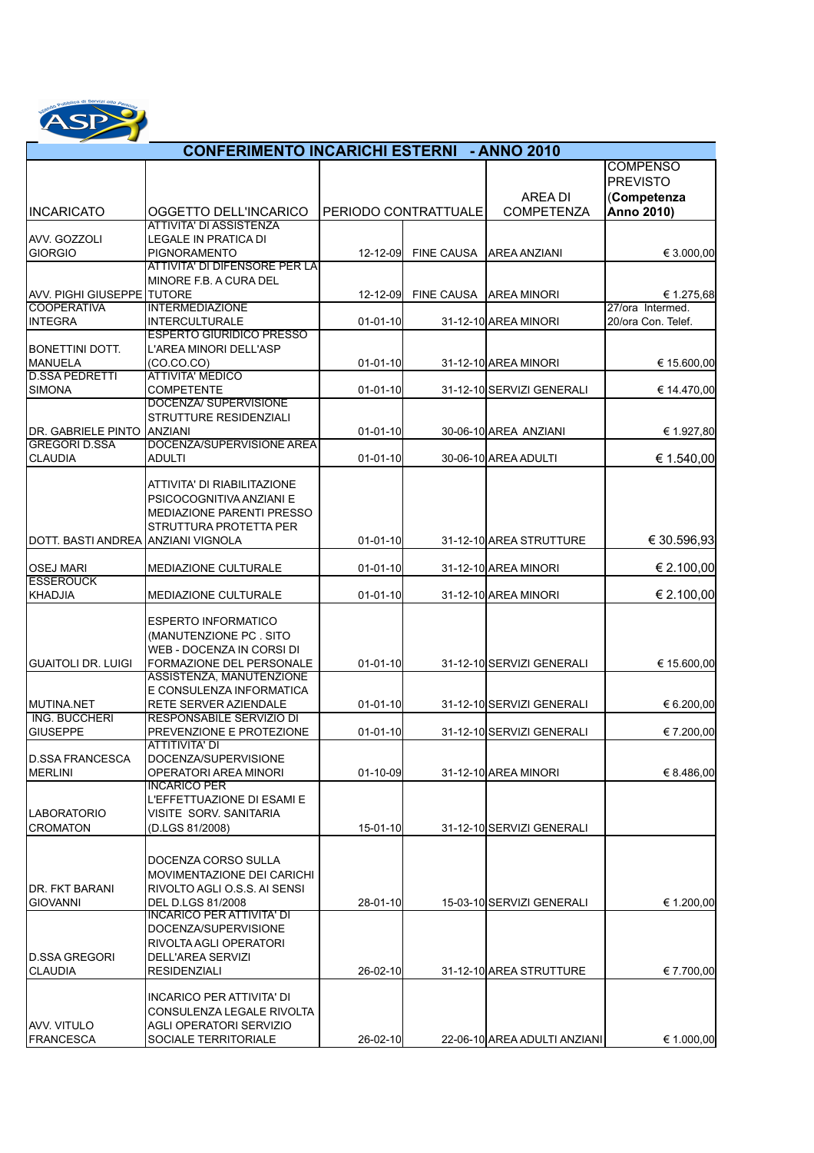

## INCARICATO | OGGETTO DELL'INCARICO AREA DI COMPETENZA **COMPENSO** PREVISTO (**Competenza Anno 2010)** AVV. GOZZOLI ATTIVITA' DI ASSISTENZA LEGALE IN PRATICA DI  $P_{2-12-09}$  FINE CAUSA AREA ANZIANI  $\epsilon$  3.000,00 ATTIVITA' DI DIFENSORE PER LA MINORE F.B. A CURA DEL **CONFERIMENTO INCARICHI ESTERNI - ANNO 2010**  PERIODO CONTRATTUALE

| GIORGIO                              | <b>PIGNORAMENTO</b>                                    | 12-12-09       | FINE CAUSA   AREA ANZIANI    | € 3.000,00         |
|--------------------------------------|--------------------------------------------------------|----------------|------------------------------|--------------------|
|                                      | <b>ATTIVITA' DI DIFENSORE PER LA</b>                   |                |                              |                    |
|                                      | MINORE F.B. A CURA DEL                                 |                |                              |                    |
| <b>AVV. PIGHI GIUSEPPE TUTORE</b>    |                                                        | 12-12-09       | FINE CAUSA JAREA MINORI      | € 1.275,68         |
| <b>COOPERATIVA</b>                   | <b>INTERMEDIAZIONE</b>                                 |                |                              | 27/ora Intermed.   |
| <b>INTEGRA</b>                       | <b>INTERCULTURALE</b>                                  | $01 - 01 - 10$ | 31-12-10 AREA MINORI         | 20/ora Con. Telef. |
|                                      | <b>ESPERTO GIURIDICO PRESSO</b>                        |                |                              |                    |
| <b>BONETTINI DOTT.</b>               | L'AREA MINORI DELL'ASP                                 |                |                              |                    |
| MANUELA<br><b>D.SSA PEDRETTI</b>     | (CO.CO.CO)                                             | $01 - 01 - 10$ | 31-12-10 AREA MINORI         | € 15.600,00        |
|                                      | <b>ATTIVITA' MEDICO</b><br><b>COMPETENTE</b>           |                |                              |                    |
| <b>SIMONA</b>                        | DOCENZA/ SUPERVISIONE                                  | $01 - 01 - 10$ | 31-12-10 SERVIZI GENERALI    | € 14.470,00        |
|                                      | <b>STRUTTURE RESIDENZIALI</b>                          |                |                              |                    |
| DR. GABRIELE PINTO                   | <b>ANZIANI</b>                                         | $01 - 01 - 10$ | 30-06-10 AREA ANZIANI        | € 1.927,80         |
| <b>GREGORI D.SSA</b>                 | DOCENZA/SUPERVISIONE AREA                              |                |                              |                    |
| <b>CLAUDIA</b>                       | <b>ADULTI</b>                                          | $01 - 01 - 10$ | 30-06-10 AREA ADULTI         | € 1.540,00         |
|                                      |                                                        |                |                              |                    |
|                                      | ATTIVITA' DI RIABILITAZIONE                            |                |                              |                    |
|                                      | PSICOCOGNITIVA ANZIANI E                               |                |                              |                    |
|                                      | MEDIAZIONE PARENTI PRESSO                              |                |                              |                    |
|                                      | STRUTTURA PROTETTA PER                                 |                |                              |                    |
| DOTT. BASTI ANDREA JANZIANI VIGNOLA  |                                                        | $01 - 01 - 10$ | 31-12-10 AREA STRUTTURE      | € 30.596,93        |
|                                      |                                                        |                |                              |                    |
| <b>OSEJ MARI</b><br><b>ESSEROUCK</b> | MEDIAZIONE CULTURALE                                   | $01 - 01 - 10$ | 31-12-10 AREA MINORI         | € 2.100,00         |
| KHADJIA                              | <b>MEDIAZIONE CULTURALE</b>                            | $01 - 01 - 10$ | 31-12-10 AREA MINORI         | € 2.100,00         |
|                                      |                                                        |                |                              |                    |
|                                      | <b>ESPERTO INFORMATICO</b>                             |                |                              |                    |
|                                      | (MANUTENZIONE PC. SITO                                 |                |                              |                    |
|                                      | WEB - DOCENZA IN CORSI DI                              |                |                              |                    |
| <b>GUAITOLI DR. LUIGI</b>            | FORMAZIONE DEL PERSONALE                               | $01 - 01 - 10$ | 31-12-10 SERVIZI GENERALI    | € 15.600,00        |
|                                      | ASSISTENZA, MANUTENZIONE                               |                |                              |                    |
|                                      | E CONSULENZA INFORMATICA                               |                |                              |                    |
| <b>MUTINA.NET</b>                    | <b>RETE SERVER AZIENDALE</b>                           | $01 - 01 - 10$ | 31-12-10 SERVIZI GENERALI    | € 6.200,00         |
| <b>ING. BUCCHERI</b>                 | <b>RESPONSABILE SERVIZIO DI</b>                        |                |                              |                    |
| <b>GIUSEPPE</b>                      | PREVENZIONE E PROTEZIONE                               | $01 - 01 - 10$ | 31-12-10 SERVIZI GENERALI    | € 7.200,00         |
|                                      | ATTITIVITA' DI                                         |                |                              |                    |
| D.SSA FRANCESCA                      | DOCENZA/SUPERVISIONE                                   |                |                              |                    |
| <b>MERLINI</b>                       | OPERATORI AREA MINORI                                  | $01 - 10 - 09$ | 31-12-10 AREA MINORI         | € 8.486,00         |
|                                      | <b>INCARICO PER</b>                                    |                |                              |                    |
|                                      | L'EFFETTUAZIONE DI ESAMI E                             |                |                              |                    |
| <b>LABORATORIO</b>                   | VISITE SORV. SANITARIA                                 |                |                              |                    |
| <b>CROMATON</b>                      | (D.LGS 81/2008)                                        | 15-01-10       | 31-12-10 SERVIZI GENERALI    |                    |
|                                      |                                                        |                |                              |                    |
|                                      | IDOCENZA CORSO SULLA                                   |                |                              |                    |
|                                      | MOVIMENTAZIONE DEI CARICHI                             |                |                              |                    |
| DR. FKT BARANI                       | RIVOLTO AGLI O.S.S. AI SENSI                           |                |                              |                    |
| <b>GIOVANNI</b>                      | <b>DEL D.LGS 81/2008</b>                               | 28-01-10       | 15-03-10 SERVIZI GENERALI    | € 1.200,00         |
|                                      | <u>INCARICO PER ATTIVITA' DI</u>                       |                |                              |                    |
|                                      | DOCENZA/SUPERVISIONE                                   |                |                              |                    |
|                                      | RIVOLTA AGLI OPERATORI                                 |                |                              |                    |
| ID.SSA GREGORI                       | DELL'AREA SERVIZI                                      |                |                              |                    |
| <b>CLAUDIA</b>                       | <b>RESIDENZIALI</b>                                    | 26-02-10       | 31-12-10 AREA STRUTTURE      | € 7.700,00         |
|                                      |                                                        |                |                              |                    |
|                                      | INCARICO PER ATTIVITA' DI<br>CONSULENZA LEGALE RIVOLTA |                |                              |                    |
| IAVV. VITULO                         | AGLI OPERATORI SERVIZIO                                |                |                              |                    |
| <b>FRANCESCA</b>                     | SOCIALE TERRITORIALE                                   | 26-02-10       | 22-06-10 AREA ADULTI ANZIANI | € 1.000,00         |
|                                      |                                                        |                |                              |                    |